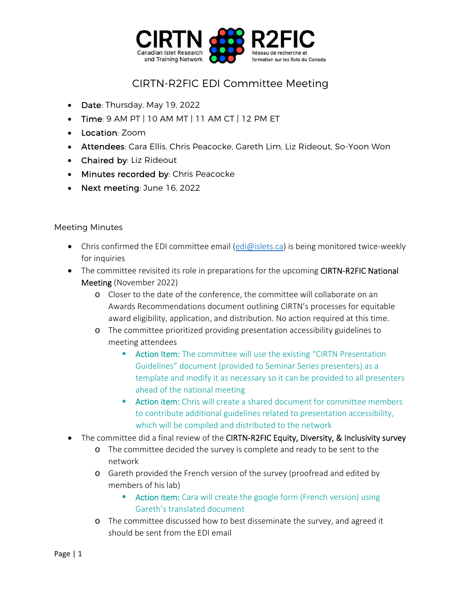

## CIRTN-R2FIC EDI Committee Meeting

- Date: Thursday, May 19, 2022
- $\bullet$  Time: 9 AM PT | 10 AM MT | 11 AM CT | 12 PM ET
- Location: Zoom
- Attendees: Cara Ellis, Chris Peacocke, Gareth Lim, Liz Rideout, So-Yoon Won
- Chaired by: Liz Rideout
- Minutes recorded by: Chris Peacocke
- Next meeting: June 16, 2022

## Meeting Minutes

- Chris confirmed the EDI committee email  $\left(\frac{edi\omega}{s}\right)$  is being monitored twice-weekly for inquiries
- The committee revisited its role in preparations for the upcoming CIRTN-R2FIC National Meeting (November 2022)
	- o Closer to the date of the conference, the committee will collaborate on an Awards Recommendations document outlining CIRTN's processes for equitable award eligibility, application, and distribution. No action required at this time.
	- o The committee prioritized providing presentation accessibility guidelines to meeting attendees
		- **E** Action Item: The committee will use the existing "CIRTN Presentation Guidelines" document (provided to Seminar Series presenters) as a template and modify it as necessary so it can be provided to all presenters ahead of the national meeting
		- **E** Action item: Chris will create a shared document for committee members to contribute additional guidelines related to presentation accessibility, which will be compiled and distributed to the network
- The committee did a final review of the CIRTN-R2FIC Equity, Diversity, & Inclusivity survey
	- o The committee decided the survey is complete and ready to be sent to the network
	- o Gareth provided the French version of the survey (proofread and edited by members of his lab)
		- **Action item:** Cara will create the google form (French version) using Gareth's translated document
	- o The committee discussed how to best disseminate the survey, and agreed it should be sent from the EDI email